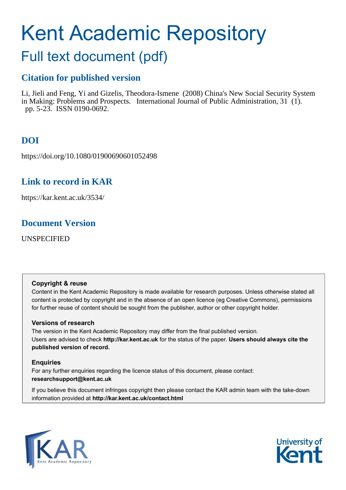# Kent Academic Repository

# Full text document (pdf)

# **Citation for published version**

Li, Jieli and Feng, Yi and Gizelis, Theodora-Ismene (2008) China's New Social Security System in Making: Problems and Prospects. International Journal of Public Administration, 31 (1). pp. 5-23. ISSN 0190-0692.

# **DOI**

https://doi.org/10.1080/01900690601052498

# **Link to record in KAR**

https://kar.kent.ac.uk/3534/

# **Document Version**

UNSPECIFIED

# **Copyright & reuse**

Content in the Kent Academic Repository is made available for research purposes. Unless otherwise stated all content is protected by copyright and in the absence of an open licence (eg Creative Commons), permissions for further reuse of content should be sought from the publisher, author or other copyright holder.

# **Versions of research**

The version in the Kent Academic Repository may differ from the final published version. Users are advised to check **http://kar.kent.ac.uk** for the status of the paper. **Users should always cite the published version of record.**

# **Enquiries**

For any further enquiries regarding the licence status of this document, please contact: **researchsupport@kent.ac.uk**

If you believe this document infringes copyright then please contact the KAR admin team with the take-down information provided at **http://kar.kent.ac.uk/contact.html**



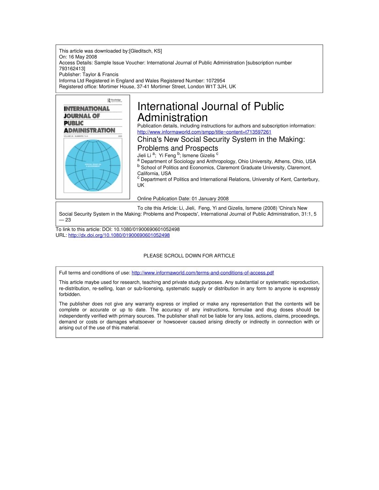This article was downloaded by:[Gleditsch, KS] On: 16 May 2008 Access Details: Sample Issue Voucher: International Journal of Public Administration [subscription number 793162413] Publisher: Taylor & Francis Informa Ltd Registered in England and Wales Registered Number: 1072954 Registered office: Mortimer House, 37-41 Mortimer Street, London W1T 3JH, UK



Social Security System in the Making: Problems and Prospects', International Journal of Public Administration, 31:1, 5  $-23$ 

To link to this article: DOI: 10.1080/01900690601052498 URL: <http://dx.doi.org/10.1080/01900690601052498>

#### PLEASE SCROLL DOWN FOR ARTICLE

Full terms and conditions of use: <http://www.informaworld.com/terms-and-conditions-of-access.pdf>

This article maybe used for research, teaching and private study purposes. Any substantial or systematic reproduction, re-distribution, re-selling, loan or sub-licensing, systematic supply or distribution in any form to anyone is expressly forbidden.

The publisher does not give any warranty express or implied or make any representation that the contents will be complete or accurate or up to date. The accuracy of any instructions, formulae and drug doses should be independently verified with primary sources. The publisher shall not be liable for any loss, actions, claims, proceedings, demand or costs or damages whatsoever or howsoever caused arising directly or indirectly in connection with or arising out of the use of this material.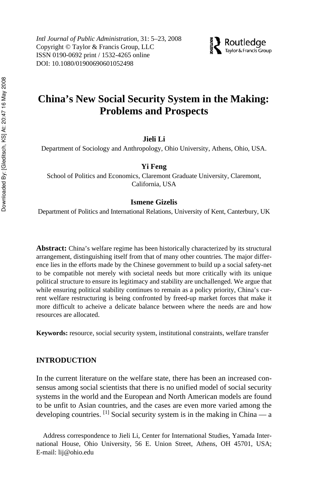*Intl Journal of Public Administration*, 31: 5–23, 2008 Copyright © Taylor & Francis Group, LLC ISSN 0190-0692 print / 1532-4265 online DOI: 10.1080/01900690601052498



# LPAD 0190-06921532-4265 Intl Journal of Public Administration, Vol. 31, No. 1, October 2007: pp. 1–32 Administration **China's New Social Security System in the Making: Problems and Prospects**

#### China's New Social Security System Li, Feng and Gizelis **Jieli Li**

Department of Sociology and Anthropology, Ohio University, Athens, Ohio, USA.

#### **Yi Feng**

School of Politics and Economics, Claremont Graduate University, Claremont, California, USA

#### **Ismene Gizelis**

Department of Politics and International Relations, University of Kent, Canterbury, UK

**Abstract:** China's welfare regime has been historically characterized by its structural arrangement, distinguishing itself from that of many other countries. The major difference lies in the efforts made by the Chinese government to build up a social safety-net to be compatible not merely with societal needs but more critically with its unique political structure to ensure its legitimacy and stability are unchallenged. We argue that while ensuring political stability continues to remain as a policy priority, China's current welfare restructuring is being confronted by freed-up market forces that make it more difficult to acheive a delicate balance between where the needs are and how resources are allocated.

**Keywords:** resource, social security system, institutional constraints, welfare transfer

#### **INTRODUCTION**

In the current literature on the welfare state, there has been an increased consensus among social scientists that there is no unified model of social security systems in the world and the European and North American models are found to be unfit to Asian countries, and the cases are even more varied among the developing countries.  $\left[1\right]$  Social security system is in the making in China — a

Address correspondence to Jieli Li, Center for International Studies, Yamada International House, Ohio University, 56 E. Union Street, Athens, OH 45701, USA; E-mail: lij@ohio.edu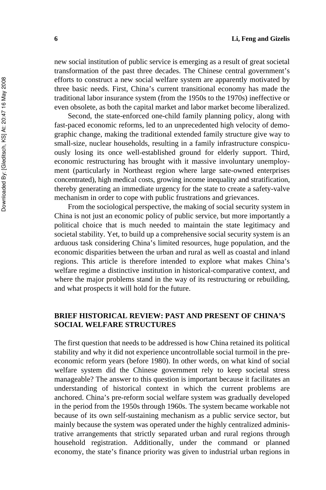new social institution of public service is emerging as a result of great societal transformation of the past three decades. The Chinese central government's efforts to construct a new social welfare system are apparently motivated by three basic needs. First, China's current transitional economy has made the traditional labor insurance system (from the 1950s to the 1970s) ineffective or even obsolete, as both the capital market and labor market become liberalized.

Second, the state-enforced one-child family planning policy, along with fast-paced economic reforms, led to an unprecedented high velocity of demographic change, making the traditional extended family structure give way to small-size, nuclear households, resulting in a family infrastructure conspicuously losing its once well-established ground for elderly support. Third, economic restructuring has brought with it massive involuntary unemployment (particularly in Northeast region where large sate-owned enterprises concentrated), high medical costs, growing income inequality and stratification, thereby generating an immediate urgency for the state to create a safety-valve mechanism in order to cope with public frustrations and grievances.

From the sociological perspective, the making of social security system in China is not just an economic policy of public service, but more importantly a political choice that is much needed to maintain the state legitimacy and societal stability. Yet, to build up a comprehensive social security system is an arduous task considering China's limited resources, huge population, and the economic disparities between the urban and rural as well as coastal and inland regions. This article is therefore intended to explore what makes China's welfare regime a distinctive institution in historical-comparative context, and where the major problems stand in the way of its restructuring or rebuilding, and what prospects it will hold for the future.

#### **BRIEF HISTORICAL REVIEW: PAST AND PRESENT OF CHINA'S SOCIAL WELFARE STRUCTURES**

The first question that needs to be addressed is how China retained its political stability and why it did not experience uncontrollable social turmoil in the preeconomic reform years (before 1980). In other words, on what kind of social welfare system did the Chinese government rely to keep societal stress manageable? The answer to this question is important because it facilitates an understanding of historical context in which the current problems are anchored. China's pre-reform social welfare system was gradually developed in the period from the 1950s through 1960s. The system became workable not because of its own self-sustaining mechanism as a public service sector, but mainly because the system was operated under the highly centralized administrative arrangements that strictly separated urban and rural regions through household registration. Additionally, under the command or planned economy, the state's finance priority was given to industrial urban regions in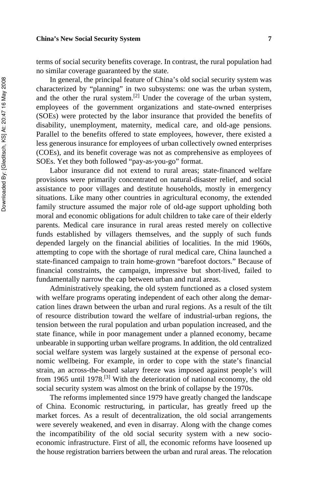terms of social security benefits coverage. In contrast, the rural population had no similar coverage guaranteed by the state.

In general, the principal feature of China's old social security system was characterized by "planning" in two subsystems: one was the urban system, and the other the rural system.<sup>[2]</sup> Under the coverage of the urban system, employees of the government organizations and state-owned enterprises (SOEs) were protected by the labor insurance that provided the benefits of disability, unemployment, maternity, medical care, and old-age pensions. Parallel to the benefits offered to state employees, however, there existed a less generous insurance for employees of urban collectively owned enterprises (COEs), and its benefit coverage was not as comprehensive as employees of SOEs. Yet they both followed "pay-as-you-go" format.

Labor insurance did not extend to rural areas; state-financed welfare provisions were primarily concentrated on natural-disaster relief, and social assistance to poor villages and destitute households, mostly in emergency situations. Like many other countries in agricultural economy, the extended family structure assumed the major role of old-age support upholding both moral and economic obligations for adult children to take care of their elderly parents. Medical care insurance in rural areas rested merely on collective funds established by villagers themselves, and the supply of such funds depended largely on the financial abilities of localities. In the mid 1960s, attempting to cope with the shortage of rural medical care, China launched a state-financed campaign to train home-grown "barefoot doctors." Because of financial constraints, the campaign, impressive but short-lived, failed to fundamentally narrow the cap between urban and rural areas.

Administratively speaking, the old system functioned as a closed system with welfare programs operating independent of each other along the demarcation lines drawn between the urban and rural regions. As a result of the tilt of resource distribution toward the welfare of industrial-urban regions, the tension between the rural population and urban population increased, and the state finance, while in poor management under a planned economy, became unbearable in supporting urban welfare programs. In addition, the old centralized social welfare system was largely sustained at the expense of personal economic wellbeing. For example, in order to cope with the state's financial strain, an across-the-board salary freeze was imposed against people's will from 1965 until 1978.<sup>[3]</sup> With the deterioration of national economy, the old social security system was almost on the brink of collapse by the 1970s.

The reforms implemented since 1979 have greatly changed the landscape of China. Economic restructuring, in particular, has greatly freed up the market forces. As a result of decentralization, the old social arrangements were severely weakened, and even in disarray. Along with the change comes the incompatibility of the old social security system with a new socioeconomic infrastructure. First of all, the economic reforms have loosened up the house registration barriers between the urban and rural areas. The relocation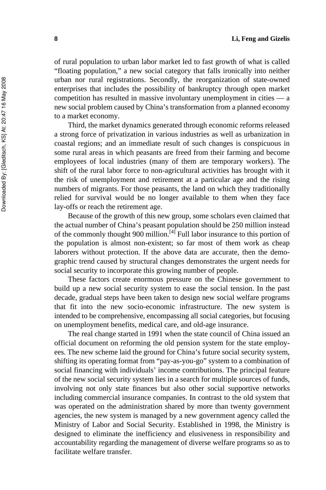of rural population to urban labor market led to fast growth of what is called "floating population," a new social category that falls ironically into neither urban nor rural registrations. Secondly, the reorganization of state-owned enterprises that includes the possibility of bankruptcy through open market competition has resulted in massive involuntary unemployment in cities — a new social problem caused by China's transformation from a planned economy to a market economy.

Third, the market dynamics generated through economic reforms released a strong force of privatization in various industries as well as urbanization in coastal regions; and an immediate result of such changes is conspicuous in some rural areas in which peasants are freed from their farming and become employees of local industries (many of them are temporary workers). The shift of the rural labor force to non-agricultural activities has brought with it the risk of unemployment and retirement at a particular age and the rising numbers of migrants. For those peasants, the land on which they traditionally relied for survival would be no longer available to them when they face lay-offs or reach the retirement age.

Because of the growth of this new group, some scholars even claimed that the actual number of China's peasant population should be 250 million instead of the commonly thought 900 million.<sup>[4]</sup> Full labor insurance to this portion of the population is almost non-existent; so far most of them work as cheap laborers without protection. If the above data are accurate, then the demographic trend caused by structural changes demonstrates the urgent needs for social security to incorporate this growing number of people.

These factors create enormous pressure on the Chinese government to build up a new social security system to ease the social tension. In the past decade, gradual steps have been taken to design new social welfare programs that fit into the new socio-economic infrastructure. The new system is intended to be comprehensive, encompassing all social categories, but focusing on unemployment benefits, medical care, and old-age insurance.

The real change started in 1991 when the state council of China issued an official document on reforming the old pension system for the state employees. The new scheme laid the ground for China's future social security system, shifting its operating format from "pay-as-you-go" system to a combination of social financing with individuals' income contributions. The principal feature of the new social security system lies in a search for multiple sources of funds, involving not only state finances but also other social supportive networks including commercial insurance companies. In contrast to the old system that was operated on the administration shared by more than twenty government agencies, the new system is managed by a new government agency called the Ministry of Labor and Social Security. Established in 1998, the Ministry is designed to eliminate the inefficiency and elusiveness in responsibility and accountability regarding the management of diverse welfare programs so as to facilitate welfare transfer.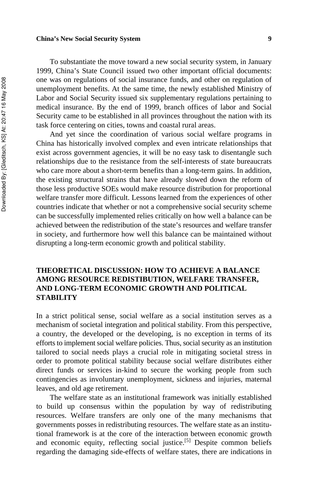To substantiate the move toward a new social security system, in January 1999, China's State Council issued two other important official documents: one was on regulations of social insurance funds, and other on regulation of unemployment benefits. At the same time, the newly established Ministry of Labor and Social Security issued six supplementary regulations pertaining to medical insurance. By the end of 1999, branch offices of labor and Social Security came to be established in all provinces throughout the nation with its task force centering on cities, towns and coastal rural areas.

And yet since the coordination of various social welfare programs in China has historically involved complex and even intricate relationships that exist across government agencies, it will be no easy task to disentangle such relationships due to the resistance from the self-interests of state bureaucrats who care more about a short-term benefits than a long-term gains. In addition, the existing structural strains that have already slowed down the reform of those less productive SOEs would make resource distribution for proportional welfare transfer more difficult. Lessons learned from the experiences of other countries indicate that whether or not a comprehensive social security scheme can be successfully implemented relies critically on how well a balance can be achieved between the redistribution of the state's resources and welfare transfer in society, and furthermore how well this balance can be maintained without disrupting a long-term economic growth and political stability.

#### **THEORETICAL DISCUSSION: HOW TO ACHIEVE A BALANCE AMONG RESOURCE REDISTIBUTION, WELFARE TRANSFER, AND LONG-TERM ECONOMIC GROWTH AND POLITICAL STABILITY**

In a strict political sense, social welfare as a social institution serves as a mechanism of societal integration and political stability. From this perspective, a country, the developed or the developing, is no exception in terms of its efforts to implement social welfare policies. Thus, social security as an institution tailored to social needs plays a crucial role in mitigating societal stress in order to promote political stability because social welfare distributes either direct funds or services in-kind to secure the working people from such contingencies as involuntary unemployment, sickness and injuries, maternal leaves, and old age retirement.

The welfare state as an institutional framework was initially established to build up consensus within the population by way of redistributing resources. Welfare transfers are only one of the many mechanisms that governments posses in redistributing resources. The welfare state as an institutional framework is at the core of the interaction between economic growth and economic equity, reflecting social justice.<sup>[5]</sup> Despite common beliefs regarding the damaging side-effects of welfare states, there are indications in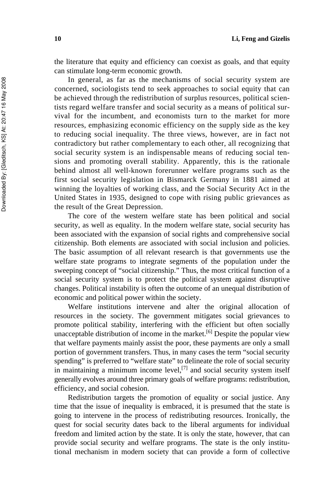the literature that equity and efficiency can coexist as goals, and that equity can stimulate long-term economic growth.

In general, as far as the mechanisms of social security system are concerned, sociologists tend to seek approaches to social equity that can be achieved through the redistribution of surplus resources, political scientists regard welfare transfer and social security as a means of political survival for the incumbent, and economists turn to the market for more resources, emphasizing economic efficiency on the supply side as the key to reducing social inequality. The three views, however, are in fact not contradictory but rather complementary to each other, all recognizing that social security system is an indispensable means of reducing social tensions and promoting overall stability. Apparently, this is the rationale behind almost all well-known forerunner welfare programs such as the first social security legislation in Bismarck Germany in 1881 aimed at winning the loyalties of working class, and the Social Security Act in the United States in 1935, designed to cope with rising public grievances as the result of the Great Depression.

The core of the western welfare state has been political and social security, as well as equality. In the modern welfare state, social security has been associated with the expansion of social rights and comprehensive social citizenship. Both elements are associated with social inclusion and policies. The basic assumption of all relevant research is that governments use the welfare state programs to integrate segments of the population under the sweeping concept of "social citizenship." Thus, the most critical function of a social security system is to protect the political system against disruptive changes. Political instability is often the outcome of an unequal distribution of economic and political power within the society.

Welfare institutions intervene and alter the original allocation of resources in the society. The government mitigates social grievances to promote political stability, interfering with the efficient but often socially unacceptable distribution of income in the market.<sup>[6]</sup> Despite the popular view that welfare payments mainly assist the poor, these payments are only a small portion of government transfers. Thus, in many cases the term "social security spending" is preferred to "welfare state" to delineate the role of social security in maintaining a minimum income level,  $[7]$  and social security system itself generally evolves around three primary goals of welfare programs: redistribution, efficiency, and social cohesion.

Redistribution targets the promotion of equality or social justice. Any time that the issue of inequality is embraced, it is presumed that the state is going to intervene in the process of redistributing resources. Ironically, the quest for social security dates back to the liberal arguments for individual freedom and limited action by the state. It is only the state, however, that can provide social security and welfare programs. The state is the only institutional mechanism in modern society that can provide a form of collective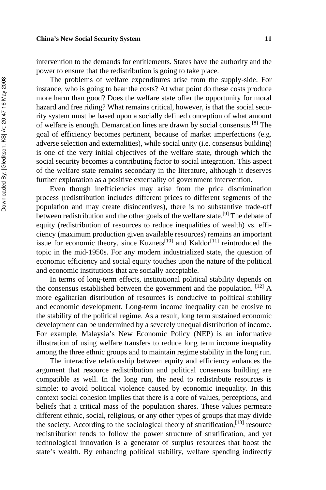intervention to the demands for entitlements. States have the authority and the power to ensure that the redistribution is going to take place.

The problems of welfare expenditures arise from the supply-side. For instance, who is going to bear the costs? At what point do these costs produce more harm than good? Does the welfare state offer the opportunity for moral hazard and free riding? What remains critical, however, is that the social security system must be based upon a socially defined conception of what amount of welfare is enough. Demarcation lines are drawn by social consensus.<sup>[8]</sup> The goal of efficiency becomes pertinent, because of market imperfections (e.g. adverse selection and externalities), while social unity (i.e. consensus building) is one of the very initial objectives of the welfare state, through which the social security becomes a contributing factor to social integration. This aspect of the welfare state remains secondary in the literature, although it deserves further exploration as a positive externality of government intervention.

Even though inefficiencies may arise from the price discrimination process (redistribution includes different prices to different segments of the population and may create disincentives), there is no substantive trade-off between redistribution and the other goals of the welfare state.<sup>[9]</sup> The debate of equity (redistribution of resources to reduce inequalities of wealth) vs. efficiency (maximum production given available resources) remains an important issue for economic theory, since Kuznets<sup>[10]</sup> and Kaldor<sup>[11]</sup> reintroduced the topic in the mid-1950s. For any modern industrialized state, the question of economic efficiency and social equity touches upon the nature of the political and economic institutions that are socially acceptable.

In terms of long-term effects, institutional political stability depends on the consensus established between the government and the population.  $[12]$  A more egalitarian distribution of resources is conducive to political stability and economic development. Long-term income inequality can be erosive to the stability of the political regime. As a result, long term sustained economic development can be undermined by a severely unequal distribution of income. For example, Malaysia's New Economic Policy (NEP) is an informative illustration of using welfare transfers to reduce long term income inequality among the three ethnic groups and to maintain regime stability in the long run.

The interactive relationship between equity and efficiency enhances the argument that resource redistribution and political consensus building are compatible as well. In the long run, the need to redistribute resources is simple: to avoid political violence caused by economic inequality. In this context social cohesion implies that there is a core of values, perceptions, and beliefs that a critical mass of the population shares. These values permeate different ethnic, social, religious, or any other types of groups that may divide the society. According to the sociological theory of stratification,  $^{[13]}$  resource redistribution tends to follow the power structure of stratification, and yet technological innovation is a generator of surplus resources that boost the state's wealth. By enhancing political stability, welfare spending indirectly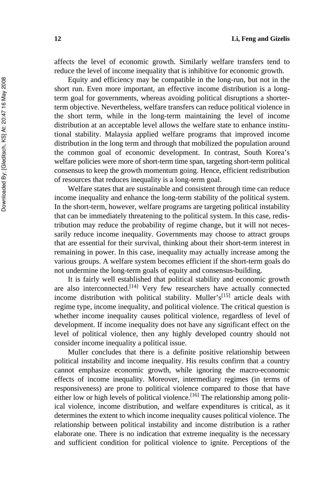affects the level of economic growth. Similarly welfare transfers tend to reduce the level of income inequality that is inhibitive for economic growth.

Equity and efficiency may be compatible in the long-run, but not in the short run. Even more important, an effective income distribution is a longterm goal for governments, whereas avoiding political disruptions a shorterterm objective. Nevertheless, welfare transfers can reduce political violence in the short term, while in the long-term maintaining the level of income distribution at an acceptable level allows the welfare state to enhance institutional stability. Malaysia applied welfare programs that improved income distribution in the long term and through that mobilized the population around the common goal of economic development. In contrast, South Korea's welfare policies were more of short-term time span, targeting short-term political consensus to keep the growth momentum going. Hence, efficient redistribution of resources that reduces inequality is a long-term goal.

Welfare states that are sustainable and consistent through time can reduce income inequality and enhance the long-term stability of the political system. In the short-term, however, welfare programs are targeting political instability that can be immediately threatening to the political system. In this case, redistribution may reduce the probability of regime change, but it will not necessarily reduce income inequality. Governments may choose to attract groups that are essential for their survival, thinking about their short-term interest in remaining in power. In this case, inequality may actually increase among the various groups. A welfare system becomes efficient if the short-term goals do not undermine the long-term goals of equity and consensus-building.

It is fairly well established that political stability and economic growth are also interconnected.<sup>[14]</sup> Very few researchers have actually connected income distribution with political stability. Muller's<sup>[15]</sup> article deals with regime type, income inequality, and political violence. The critical question is whether income inequality causes political violence, regardless of level of development. If income inequality does not have any significant effect on the level of political violence, then any highly developed country should not consider income inequality a political issue.

Muller concludes that there is a definite positive relationship between political instability and income inequality. His results confirm that a country cannot emphasize economic growth, while ignoring the macro-economic effects of income inequality. Moreover, intermediary regimes (in terms of responsiveness) are prone to political violence compared to those that have either low or high levels of political violence.<sup>[16]</sup> The relationship among political violence, income distribution, and welfare expenditures is critical, as it determines the extent to which income inequality causes political violence. The relationship between political instability and income distribution is a rather elaborate one. There is no indication that extreme inequality is the necessary and sufficient condition for political violence to ignite. Perceptions of the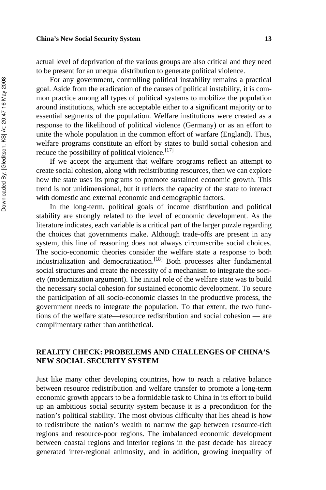actual level of deprivation of the various groups are also critical and they need to be present for an unequal distribution to generate political violence.

For any government, controlling political instability remains a practical goal. Aside from the eradication of the causes of political instability, it is common practice among all types of political systems to mobilize the population around institutions, which are acceptable either to a significant majority or to essential segments of the population. Welfare institutions were created as a response to the likelihood of political violence (Germany) or as an effort to unite the whole population in the common effort of warfare (England). Thus, welfare programs constitute an effort by states to build social cohesion and reduce the possibility of political violence. $[17]$ 

If we accept the argument that welfare programs reflect an attempt to create social cohesion, along with redistributing resources, then we can explore how the state uses its programs to promote sustained economic growth. This trend is not unidimensional, but it reflects the capacity of the state to interact with domestic and external economic and demographic factors.

In the long-term, political goals of income distribution and political stability are strongly related to the level of economic development. As the literature indicates, each variable is a critical part of the larger puzzle regarding the choices that governments make. Although trade-offs are present in any system, this line of reasoning does not always circumscribe social choices. The socio-economic theories consider the welfare state a response to both industrialization and democratization.<sup>[18]</sup> Both processes alter fundamental social structures and create the necessity of a mechanism to integrate the society (modernization argument). The initial role of the welfare state was to build the necessary social cohesion for sustained economic development. To secure the participation of all socio-economic classes in the productive process, the government needs to integrate the population. To that extent, the two functions of the welfare state—resource redistribution and social cohesion — are complimentary rather than antithetical.

#### **REALITY CHECK: PROBELEMS AND CHALLENGES OF CHINA'S NEW SOCIAL SECURITY SYSTEM**

Just like many other developing countries, how to reach a relative balance between resource redistribution and welfare transfer to promote a long-term economic growth appears to be a formidable task to China in its effort to build up an ambitious social security system because it is a precondition for the nation's political stability. The most obvious difficulty that lies ahead is how to redistribute the nation's wealth to narrow the gap between resource-rich regions and resource-poor regions. The imbalanced economic development between coastal regions and interior regions in the past decade has already generated inter-regional animosity, and in addition, growing inequality of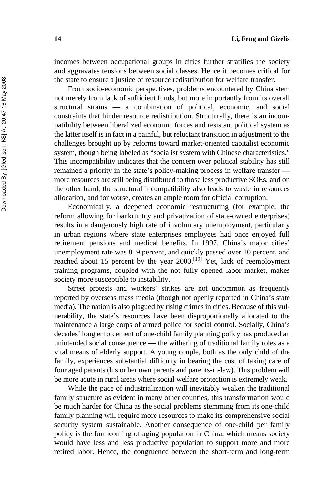incomes between occupational groups in cities further stratifies the society and aggravates tensions between social classes. Hence it becomes critical for the state to ensure a justice of resource redistribution for welfare transfer.

From socio-economic perspectives, problems encountered by China stem not merely from lack of sufficient funds, but more importantly from its overall structural strains — a combination of political, economic, and social constraints that hinder resource redistribution. Structurally, there is an incompatibility between liberalized economic forces and resistant political system as the latter itself is in fact in a painful, but reluctant transition in adjustment to the challenges brought up by reforms toward market-oriented capitalist economic system, though being labeled as "socialist system with Chinese characteristics." This incompatibility indicates that the concern over political stability has still remained a priority in the state's policy-making process in welfare transfer more resources are still being distributed to those less productive SOEs, and on the other hand, the structural incompatibility also leads to waste in resources allocation, and for worse, creates an ample room for official corruption.

Economically, a deepened economic restructuring (for example, the reform allowing for bankruptcy and privatization of state-owned enterprises) results in a dangerously high rate of involuntary unemployment, particularly in urban regions where state enterprises employees had once enjoyed full retirement pensions and medical benefits. In 1997, China's major cities' unemployment rate was 8–9 percent, and quickly passed over 10 percent, and reached about 15 percent by the year 2000.<sup>[19]</sup> Yet, lack of reemployment training programs, coupled with the not fully opened labor market, makes society more susceptible to instability.

Street protests and workers' strikes are not uncommon as frequently reported by overseas mass media (though not openly reported in China's state media). The nation is also plagued by rising crimes in cities. Because of this vulnerability, the state's resources have been disproportionally allocated to the maintenance a large corps of armed police for social control. Socially, China's decades' long enforcement of one-child family planning policy has produced an unintended social consequence — the withering of traditional family roles as a vital means of elderly support. A young couple, both as the only child of the family, experiences substantial difficulty in bearing the cost of taking care of four aged parents (his or her own parents and parents-in-law). This problem will be more acute in rural areas where social welfare protection is extremely weak.

While the pace of industrialization will inevitably weaken the traditional family structure as evident in many other counties, this transformation would be much harder for China as the social problems stemming from its one-child family planning will require more resources to make its comprehensive social security system sustainable. Another consequence of one-child per family policy is the forthcoming of aging population in China, which means society would have less and less productive population to support more and more retired labor. Hence, the congruence between the short-term and long-term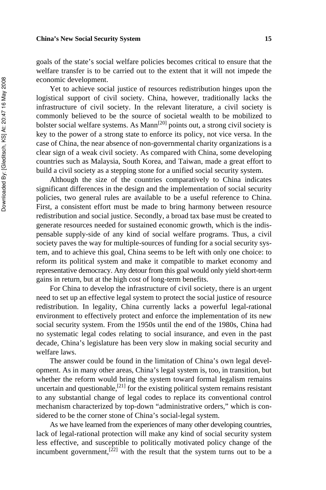goals of the state's social welfare policies becomes critical to ensure that the welfare transfer is to be carried out to the extent that it will not impede the economic development.

Yet to achieve social justice of resources redistribution hinges upon the logistical support of civil society. China, however, traditionally lacks the infrastructure of civil society. In the relevant literature, a civil society is commonly believed to be the source of societal wealth to be mobilized to bolster social welfare systems. As Mann<sup>[20]</sup> points out, a strong civil society is key to the power of a strong state to enforce its policy, not vice versa. In the case of China, the near absence of non-governmental charity organizations is a clear sign of a weak civil society. As compared with China, some developing countries such as Malaysia, South Korea, and Taiwan, made a great effort to build a civil society as a stepping stone for a unified social security system.

Although the size of the countries comparatively to China indicates significant differences in the design and the implementation of social security policies, two general rules are available to be a useful reference to China. First, a consistent effort must be made to bring harmony between resource redistribution and social justice. Secondly, a broad tax base must be created to generate resources needed for sustained economic growth, which is the indispensable supply-side of any kind of social welfare programs. Thus, a civil society paves the way for multiple-sources of funding for a social security system, and to achieve this goal, China seems to be left with only one choice: to reform its political system and make it compatible to market economy and representative democracy. Any detour from this goal would only yield short-term gains in return, but at the high cost of long-term benefits.

For China to develop the infrastructure of civil society, there is an urgent need to set up an effective legal system to protect the social justice of resource redistribution. In legality, China currently lacks a powerful legal-rational environment to effectively protect and enforce the implementation of its new social security system. From the 1950s until the end of the 1980s, China had no systematic legal codes relating to social insurance, and even in the past decade, China's legislature has been very slow in making social security and welfare laws.

The answer could be found in the limitation of China's own legal development. As in many other areas, China's legal system is, too, in transition, but whether the reform would bring the system toward formal legalism remains uncertain and questionable, $[21]$  for the existing political system remains resistant to any substantial change of legal codes to replace its conventional control mechanism characterized by top-down "administrative orders," which is considered to be the corner stone of China's social-legal system.

As we have learned from the experiences of many other developing countries, lack of legal-rational protection will make any kind of social security system less effective, and susceptible to politically motivated policy change of the incumbent government,<sup>[22]</sup> with the result that the system turns out to be a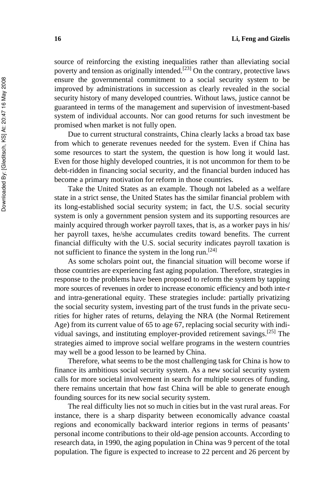source of reinforcing the existing inequalities rather than alleviating social poverty and tension as originally intended.<sup>[23]</sup> On the contrary, protective laws ensure the governmental commitment to a social security system to be improved by administrations in succession as clearly revealed in the social security history of many developed countries. Without laws, justice cannot be guaranteed in terms of the management and supervision of investment-based system of individual accounts. Nor can good returns for such investment be promised when market is not fully open.

Due to current structural constraints, China clearly lacks a broad tax base from which to generate revenues needed for the system. Even if China has some resources to start the system, the question is how long it would last. Even for those highly developed countries, it is not uncommon for them to be debt-ridden in financing social security, and the financial burden induced has become a primary motivation for reform in those countries.

Take the United States as an example. Though not labeled as a welfare state in a strict sense, the United States has the similar financial problem with its long-established social security system; in fact, the U.S. social security system is only a government pension system and its supporting resources are mainly acquired through worker payroll taxes, that is, as a worker pays in his/ her payroll taxes, he/she accumulates credits toward benefits. The current financial difficulty with the U.S. social security indicates payroll taxation is not sufficient to finance the system in the long run.<sup>[24]</sup>

As some scholars point out, the financial situation will become worse if those countries are experiencing fast aging population. Therefore, strategies in response to the problems have been proposed to reform the system by tapping more sources of revenues in order to increase economic efficiency and both inte-r and intra-generational equity. These strategies include: partially privatizing the social security system, investing part of the trust funds in the private securities for higher rates of returns, delaying the NRA (the Normal Retirement Age) from its current value of 65 to age 67, replacing social security with individual savings, and instituting employer-provided retirement savings.<sup>[25]</sup> The strategies aimed to improve social welfare programs in the western countries may well be a good lesson to be learned by China.

Therefore, what seems to be the most challenging task for China is how to finance its ambitious social security system. As a new social security system calls for more societal involvement in search for multiple sources of funding, there remains uncertain that how fast China will be able to generate enough founding sources for its new social security system.

The real difficulty lies not so much in cities but in the vast rural areas. For instance, there is a sharp disparity between economically advance coastal regions and economically backward interior regions in terms of peasants' personal income contributions to their old-age pension accounts. According to research data, in 1990, the aging population in China was 9 percent of the total population. The figure is expected to increase to 22 percent and 26 percent by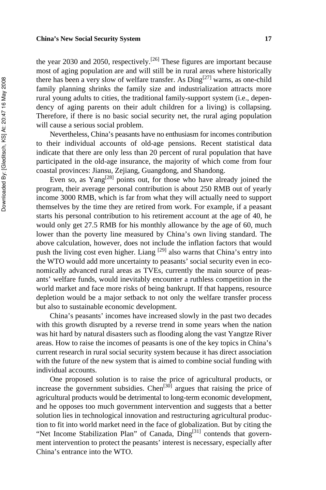the year 2030 and 2050, respectively.<sup>[26]</sup> These figures are important because most of aging population are and will still be in rural areas where historically there has been a very slow of welfare transfer. As  $\text{Ding}^{[27]}$  warns, as one-child family planning shrinks the family size and industrialization attracts more rural young adults to cities, the traditional family-support system (i.e., dependency of aging parents on their adult children for a living) is collapsing. Therefore, if there is no basic social security net, the rural aging population will cause a serious social problem.

Nevertheless, China's peasants have no enthusiasm for incomes contribution to their individual accounts of old-age pensions. Recent statistical data indicate that there are only less than 20 percent of rural population that have participated in the old-age insurance, the majority of which come from four coastal provinces: Jiansu, Zejiang, Guangdong, and Shandong.

Even so, as Yang<sup>[28]</sup> points out, for those who have already joined the program, their average personal contribution is about 250 RMB out of yearly income 3000 RMB, which is far from what they will actually need to support themselves by the time they are retired from work. For example, if a peasant starts his personal contribution to his retirement account at the age of 40, he would only get 27.5 RMB for his monthly allowance by the age of 60, much lower than the poverty line measured by China's own living standard. The above calculation, however, does not include the inflation factors that would push the living cost even higher. Liang <sup>[29]</sup> also warns that China's entry into the WTO would add more uncertainty to peasants' social security even in economically advanced rural areas as TVEs, currently the main source of peasants' welfare funds, would inevitably encounter a ruthless competition in the world market and face more risks of being bankrupt. If that happens, resource depletion would be a major setback to not only the welfare transfer process but also to sustainable economic development.

China's peasants' incomes have increased slowly in the past two decades with this growth disrupted by a reverse trend in some years when the nation was hit hard by natural disasters such as flooding along the vast Yangtze River areas. How to raise the incomes of peasants is one of the key topics in China's current research in rural social security system because it has direct association with the future of the new system that is aimed to combine social funding with individual accounts.

One proposed solution is to raise the price of agricultural products, or increase the government subsidies. Chen<sup>[30]</sup> argues that raising the price of agricultural products would be detrimental to long-term economic development, and he opposes too much government intervention and suggests that a better solution lies in technological innovation and restructuring agricultural production to fit into world market need in the face of globalization. But by citing the "Net Income Stabilization Plan" of Canada, Ding<sup>[31]</sup> contends that government intervention to protect the peasants' interest is necessary, especially after China's entrance into the WTO.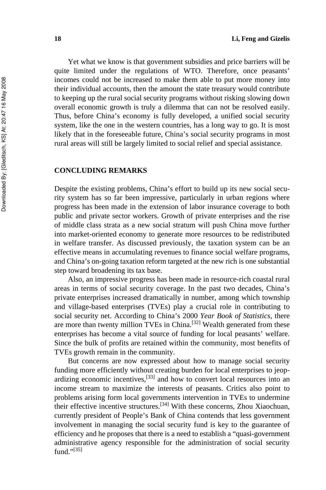Yet what we know is that government subsidies and price barriers will be quite limited under the regulations of WTO. Therefore, once peasants' incomes could not be increased to make them able to put more money into their individual accounts, then the amount the state treasury would contribute to keeping up the rural social security programs without risking slowing down overall economic growth is truly a dilemma that can not be resolved easily. Thus, before China's economy is fully developed, a unified social security system, like the one in the western countries, has a long way to go. It is most likely that in the foreseeable future, China's social security programs in most rural areas will still be largely limited to social relief and special assistance.

#### **CONCLUDING REMARKS**

Despite the existing problems, China's effort to build up its new social security system has so far been impressive, particularly in urban regions where progress has been made in the extension of labor insurance coverage to both public and private sector workers. Growth of private enterprises and the rise of middle class strata as a new social stratum will push China move further into market-oriented economy to generate more resources to be redistributed in welfare transfer. As discussed previously, the taxation system can be an effective means in accumulating revenues to finance social welfare programs, and China's on-going taxation reform targeted at the new rich is one substantial step toward broadening its tax base.

Also, an impressive progress has been made in resource-rich coastal rural areas in terms of social security coverage. In the past two decades, China's private enterprises increased dramatically in number, among which township and village-based enterprises (TVEs) play a crucial role in contributing to social security net. According to China's 2000 *Year Book of Statistics*, there are more than twenty million TVEs in China.<sup>[32]</sup> Wealth generated from these enterprises has become a vital source of funding for local peasants' welfare. Since the bulk of profits are retained within the community, most benefits of TVEs growth remain in the community.

But concerns are now expressed about how to manage social security funding more efficiently without creating burden for local enterprises to jeopardizing economic incentives,[33] and how to convert local resources into an income stream to maximize the interests of peasants. Critics also point to problems arising form local governments intervention in TVEs to undermine their effective incentive structures.[34] With these concerns, Zhou Xiaochuan, currently president of People's Bank of China contends that less government involvement in managing the social security fund is key to the guarantee of efficiency and he proposes that there is a need to establish a "quasi-government administrative agency responsible for the administration of social security fund."[35]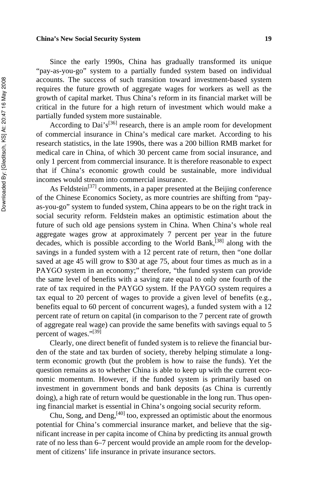Since the early 1990s, China has gradually transformed its unique "pay-as-you-go" system to a partially funded system based on individual accounts. The success of such transition toward investment-based system requires the future growth of aggregate wages for workers as well as the growth of capital market. Thus China's reform in its financial market will be critical in the future for a high return of investment which would make a partially funded system more sustainable.

According to Dai's<sup>[36]</sup> research, there is an ample room for development of commercial insurance in China's medical care market. According to his research statistics, in the late 1990s, there was a 200 billion RMB market for medical care in China, of which 30 percent came from social insurance, and only 1 percent from commercial insurance. It is therefore reasonable to expect that if China's economic growth could be sustainable, more individual incomes would stream into commercial insurance.

As Feldstein<sup>[37]</sup> comments, in a paper presented at the Beijing conference of the Chinese Economics Society, as more countries are shifting from "payas-you-go" system to funded system, China appears to be on the right track in social security reform. Feldstein makes an optimistic estimation about the future of such old age pensions system in China. When China's whole real aggregate wages grow at approximately 7 percent per year in the future decades, which is possible according to the World Bank,<sup>[38]</sup> along with the savings in a funded system with a 12 percent rate of return, then "one dollar saved at age 45 will grow to \$30 at age 75, about four times as much as in a PAYGO system in an economy;" therefore, "the funded system can provide the same level of benefits with a saving rate equal to only one fourth of the rate of tax required in the PAYGO system. If the PAYGO system requires a tax equal to 20 percent of wages to provide a given level of benefits (e.g., benefits equal to 60 percent of concurrent wages), a funded system with a 12 percent rate of return on capital (in comparison to the 7 percent rate of growth of aggregate real wage) can provide the same benefits with savings equal to 5 percent of wages."<sup>[39]</sup>

Clearly, one direct benefit of funded system is to relieve the financial burden of the state and tax burden of society, thereby helping stimulate a longterm economic growth (but the problem is how to raise the funds). Yet the question remains as to whether China is able to keep up with the current economic momentum. However, if the funded system is primarily based on investment in government bonds and bank deposits (as China is currently doing), a high rate of return would be questionable in the long run. Thus opening financial market is essential in China's ongoing social security reform.

Chu, Song, and Deng, $[40]$  too, expressed an optimistic about the enormous potential for China's commercial insurance market, and believe that the significant increase in per capita income of China by predicting its annual growth rate of no less than 6–7 percent would provide an ample room for the development of citizens' life insurance in private insurance sectors.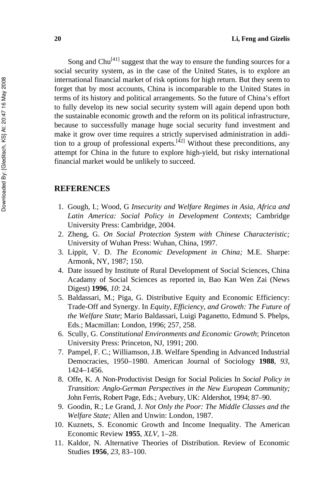Song and  $Chu^{[41]}$  suggest that the way to ensure the funding sources for a social security system, as in the case of the United States, is to explore an international financial market of risk options for high return. But they seem to forget that by most accounts, China is incomparable to the United States in terms of its history and political arrangements. So the future of China's effort to fully develop its new social security system will again depend upon both the sustainable economic growth and the reform on its political infrastructure, because to successfully manage huge social security fund investment and make it grow over time requires a strictly supervised administration in addition to a group of professional experts.<sup>[42]</sup> Without these preconditions, any attempt for China in the future to explore high-yield, but risky international financial market would be unlikely to succeed.

#### **REFERENCES**

- 1. Gough, I.; Wood, G *Insecurity and Welfare Regimes in Asia, Africa and Latin America: Social Policy in Development Contexts*; Cambridge University Press: Cambridge, 2004.
- 2. Zheng, G. *On Social Protection System with Chinese Characteristic;* University of Wuhan Press: Wuhan, China, 1997.
- 3. Lippit, V. D. *The Economic Development in China;* M.E. Sharpe: Armonk, NY, 1987; 150.
- 4. Date issued by Institute of Rural Development of Social Sciences, China Acadamy of Social Sciences as reported in, Bao Kan Wen Zai (News Digest) **1996**, *10*: 24.
- 5. Baldassari, M.; Piga, G. Distributive Equity and Economic Efficiency: Trade-Off and Synergy. In *Equity, Efficiency, and Growth: The Future of the Welfare State*; Mario Baldassari, Luigi Paganetto, Edmund S. Phelps, Eds.; Macmillan: London, 1996; 257, 258.
- 6. Scully, G. *Constitutional Environments and Economic Growth*; Princeton University Press: Princeton, NJ, 1991; 200.
- 7. Pampel, F. C.; Williamson, J.B. Welfare Spending in Advanced Industrial Democracies, 1950–1980. American Journal of Sociology **1988**, *93*, 1424–1456.
- 8. Offe, K. A Non-Productivist Design for Social Policies In *Social Policy in Transition: Anglo-German Perspectives in the New European Community;* John Ferris, Robert Page, Eds.; Avebury, UK: Aldershot, 1994; 87–90.
- 9. Goodin, R.; Le Grand, J. *Not Only the Poor: The Middle Classes and the Welfare State;* Allen and Unwin: London, 1987.
- 10. Kuznets, S. Economic Growth and Income Inequality. The American Economic Review **1955**, *XLV*, 1–28.
- 11. Kaldor, N. Alternative Theories of Distribution. Review of Economic Studies **1956**, *23*, 83–100.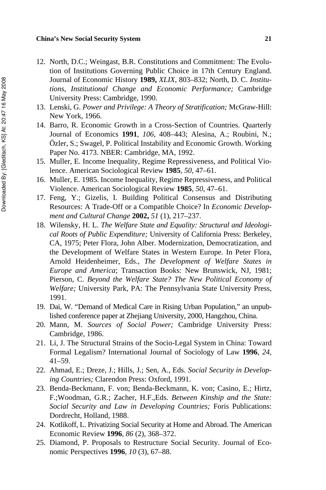- 12. North, D.C.; Weingast, B.R. Constitutions and Commitment: The Evolution of Institutions Governing Public Choice in 17th Century England. Journal of Economic History **1989,** *XLIX*, 803–832; North, D. C. *Institutions, Institutional Change and Economic Performance;* Cambridge University Press: Cambridge, 1990.
- 13. Lenski, G. *Power and Privilege: A Theory of Stratification;* McGraw-Hill: New York, 1966.
- 14. Barro, R. Economic Growth in a Cross-Section of Countries. Quarterly Journal of Economics **1991**, *106*, 408–443; Alesina, A.; Roubini, N.; Özler, S.; Swagel, P. Political Instability and Economic Growth. Working Paper No. 4173. NBER: Cambridge, MA, 1992.
- 15. Muller, E. Income Inequality, Regime Repressiveness, and Political Violence. American Sociological Review **1985**, *50*, 47–61.
- 16. Muller, E. 1985. Income Inequality, Regime Repressiveness, and Political Violence. American Sociological Review **1985**, *50*, 47–61.
- 17. Feng, Y.; Gizelis, I. Building Political Consensus and Distributing Resources: A Trade-Off or a Compatible Choice? In *Economic Development and Cultural Change* **2002,** *51* (1), 217–237.
- 18. Wilensky, H. L. *The Welfare State and Equality: Structural and Ideological Roots of Public Expenditure;* University of California Press: Berkeley, CA, 1975; Peter Flora, John Alber. Modernization, Democratization, and the Development of Welfare States in Western Europe. In Peter Flora, Arnold Heidenheimer, Eds., *The Development of Welfare States in Europe and America*; Transaction Books: New Brunswick, NJ, 1981; Pierson, C. *Beyond the Welfare State? The New Political Economy of Welfare;* University Park, PA: The Pennsylvania State University Press, 1991.
- 19. Dai, W. "Demand of Medical Care in Rising Urban Population," an unpublished conference paper at Zhejiang University, 2000, Hangzhou, China.
- 20. Mann, M. *Sources of Social Power;* Cambridge University Press: Cambridge, 1986.
- 21. Li, J. The Structural Strains of the Socio-Legal System in China: Toward Formal Legalism? International Journal of Sociology of Law **1996**, *24*, 41–59.
- 22. Ahmad, E.; Dreze, J.; Hills, J.; Sen, A., Eds. *Social Security in Developing Countries;* Clarendon Press: Oxford, 1991.
- 23. Benda-Beckmann, F. von; Benda-Beckmann, K. von; Casino, E.; Hirtz, F.;Woodman, G.R.; Zacher, H.F.,Eds. *Between Kinship and the State: Social Security and Law in Developing Countries;* Foris Publications: Dordrecht, Holland, 1988.
- 24. Kotlikoff, L. Privatizing Social Security at Home and Abroad. The American Economic Review **1996**, *86* (2), 368–372.
- 25. Diamond, P. Proposals to Restructure Social Security. Journal of Economic Perspectives **1996**, *10* (3), 67–88.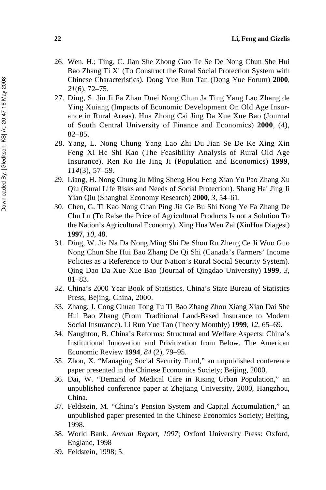- 26. Wen, H.; Ting, C. Jian She Zhong Guo Te Se De Nong Chun She Hui Bao Zhang Ti Xi (To Construct the Rural Social Protection System with Chinese Characteristics). Dong Yue Run Tan (Dong Yue Forum) **2000**, *21*(6), 72–75.
- 27. Ding, S. Jin Ji Fa Zhan Duei Nong Chun Ja Ting Yang Lao Zhang de Ying Xuiang (Impacts of Economic Development On Old Age Insurance in Rural Areas). Hua Zhong Cai Jing Da Xue Xue Bao (Journal of South Central University of Finance and Economics) **2000**, (4), 82–85.
- 28. Yang, L. Nong Chung Yang Lao Zhi Du Jian Se De Ke Xing Xin Feng Xi He Shi Kao (The Feasibility Analysis of Rural Old Age Insurance). Ren Ko He Jing Ji (Population and Economics) **1999**, *114*(3), 57–59.
- 29. Liang, H. Nong Chung Ju Ming Sheng Hou Feng Xian Yu Pao Zhang Xu Qiu (Rural Life Risks and Needs of Social Protection). Shang Hai Jing Ji Yian Qiu (Shanghai Economy Research) **2000**, *3*, 54–61.
- 30. Chen, G. Ti Kao Nong Chan Ping Jia Ge Bu Shi Nong Ye Fa Zhang De Chu Lu (To Raise the Price of Agricultural Products Is not a Solution To the Nation's Agricultural Economy). Xing Hua Wen Zai (XinHua Diagest) **1997**, *10*, 48.
- 31. Ding, W. Jia Na Da Nong Ming Shi De Shou Ru Zheng Ce Ji Wuo Guo Nong Chun She Hui Bao Zhang De Qi Shi (Canada's Farmers' Income Policies as a Reference to Our Nation's Rural Social Security System). Qing Dao Da Xue Xue Bao (Journal of Qingdao University) **1999**, *3*, 81–83.
- 32. China's 2000 Year Book of Statistics. China's State Bureau of Statistics Press, Bejing, China, 2000.
- 33. Zhang, J. Cong Chuan Tong Tu Ti Bao Zhang Zhou Xiang Xian Dai She Hui Bao Zhang (From Traditional Land-Based Insurance to Modern Social Insurance). Li Run Yue Tan (Theory Monthly) **1999**, *12*, 65–69.
- 34. Naughton, B. China's Reforms: Structural and Welfare Aspects: China's Institutional Innovation and Privitization from Below. The American Economic Review **1994**, *84* (2), 79–95.
- 35. Zhou, X. "Managing Social Security Fund," an unpublished conference paper presented in the Chinese Economics Society; Beijing, 2000.
- 36. Dai, W. "Demand of Medical Care in Rising Urban Population," an unpublished conference paper at Zhejiang University, 2000, Hangzhou, China.
- 37. Feldstein, M. "China's Pension System and Capital Accumulation," an unpublished paper presented in the Chinese Economics Society; Beijing, 1998.
- 38. World Bank. *Annual Report, 1997*; Oxford University Press: Oxford, England, 1998
- 39. Feldstein, 1998; 5.